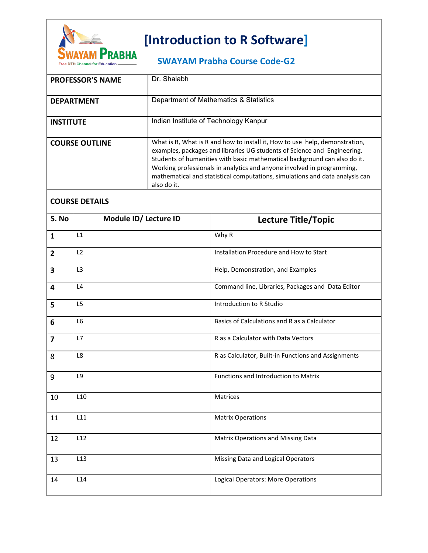

## **[Introduction to R Software]**

## **SWAYAM Prabha Course Code-G2**

| <b>PROFESSOR'S NAME</b> | Dr. Shalabh                                                                                                                                                                                                                                                                                                                                                                                                   |
|-------------------------|---------------------------------------------------------------------------------------------------------------------------------------------------------------------------------------------------------------------------------------------------------------------------------------------------------------------------------------------------------------------------------------------------------------|
| <b>DEPARTMENT</b>       | Department of Mathematics & Statistics                                                                                                                                                                                                                                                                                                                                                                        |
| <b>INSTITUTE</b>        | Indian Institute of Technology Kanpur                                                                                                                                                                                                                                                                                                                                                                         |
| <b>COURSE OUTLINE</b>   | What is R, What is R and how to install it, How to use help, demonstration,<br>examples, packages and libraries UG students of Science and Engineering.<br>Students of humanities with basic mathematical background can also do it.<br>Working professionals in analytics and anyone involved in programming,<br>mathematical and statistical computations, simulations and data analysis can<br>also do it. |

## **COURSE DETAILS**

| S. No                   | Module ID/ Lecture ID | <b>Lecture Title/Topic</b>                          |
|-------------------------|-----------------------|-----------------------------------------------------|
| $\mathbf{1}$            | L1                    | Why R                                               |
| $\overline{2}$          | L2                    | Installation Procedure and How to Start             |
| $\overline{\mathbf{3}}$ | L <sub>3</sub>        | Help, Demonstration, and Examples                   |
| 4                       | L4                    | Command line, Libraries, Packages and Data Editor   |
| 5                       | L <sub>5</sub>        | Introduction to R Studio                            |
| 6                       | L6                    | Basics of Calculations and R as a Calculator        |
| $\overline{7}$          | L7                    | R as a Calculator with Data Vectors                 |
| 8                       | L8                    | R as Calculator, Built-in Functions and Assignments |
| 9                       | L9                    | Functions and Introduction to Matrix                |
| 10                      | L10                   | Matrices                                            |
| 11                      | L11                   | <b>Matrix Operations</b>                            |
| 12                      | L12                   | Matrix Operations and Missing Data                  |
| 13                      | L13                   | Missing Data and Logical Operators                  |
| 14                      | L <sub>14</sub>       | Logical Operators: More Operations                  |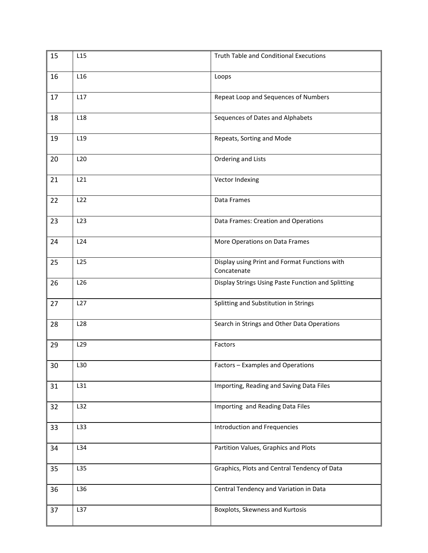| 15 | L15             | <b>Truth Table and Conditional Executions</b>                |
|----|-----------------|--------------------------------------------------------------|
| 16 | L16             | Loops                                                        |
| 17 | L17             | Repeat Loop and Sequences of Numbers                         |
| 18 | L <sub>18</sub> | Sequences of Dates and Alphabets                             |
| 19 | L <sub>19</sub> | Repeats, Sorting and Mode                                    |
| 20 | L <sub>20</sub> | Ordering and Lists                                           |
| 21 | L21             | Vector Indexing                                              |
| 22 | L22             | Data Frames                                                  |
| 23 | L23             | Data Frames: Creation and Operations                         |
| 24 | L24             | More Operations on Data Frames                               |
| 25 | L25             | Display using Print and Format Functions with<br>Concatenate |
| 26 | L26             | Display Strings Using Paste Function and Splitting           |
| 27 | L27             | Splitting and Substitution in Strings                        |
| 28 | L <sub>28</sub> | Search in Strings and Other Data Operations                  |
| 29 | L <sub>29</sub> | Factors                                                      |
| 30 | L30             | Factors - Examples and Operations                            |
| 31 | L31             | Importing, Reading and Saving Data Files                     |
| 32 | L32             | Importing and Reading Data Files                             |
| 33 | L33             | <b>Introduction and Frequencies</b>                          |
| 34 | L34             | Partition Values, Graphics and Plots                         |
| 35 | L35             | Graphics, Plots and Central Tendency of Data                 |
| 36 | L36             | Central Tendency and Variation in Data                       |
| 37 | L37             | Boxplots, Skewness and Kurtosis                              |